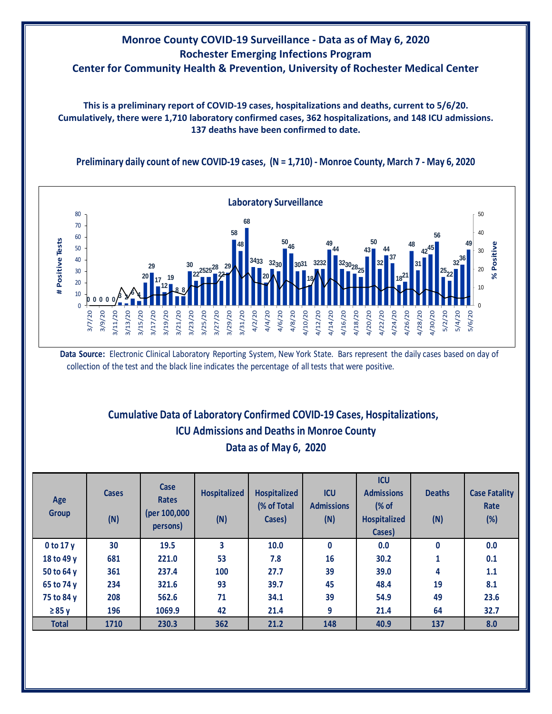## **Monroe County COVID-19 Surveillance - Data as of May 6, 2020 Rochester Emerging Infections Program Center for Community Health & Prevention, University of Rochester Medical Center**

**This is a preliminary report of COVID-19 cases, hospitalizations and deaths, current to 5/6/20. Cumulatively, there were 1,710 laboratory confirmed cases, 362 hospitalizations, and 148 ICU admissions. 137 deaths have been confirmed to date.**

**Preliminary daily count of new COVID-19 cases, (N = 1,710) - Monroe County, March 7 - May 6, 2020**



**Data Source:** Electronic Clinical Laboratory Reporting System, New York State. Bars represent the daily cases based on day of collection of the test and the black line indicates the percentage of all tests that were positive.

## **Cumulative Data of Laboratory Confirmed COVID-19 Cases, Hospitalizations, Data as of May 6, 2020 ICU Admissions and Deaths in Monroe County**

| Age<br><b>Group</b> | <b>Cases</b><br>(N) | Case<br><b>Rates</b><br>(per 100,000<br>persons) | <b>Hospitalized</b><br>(N) | <b>Hospitalized</b><br>(% of Total<br>Cases) | <b>ICU</b><br><b>Admissions</b><br>(N) | <b>ICU</b><br><b>Admissions</b><br>$\frac{8}{3}$ of<br><b>Hospitalized</b><br>Cases) | <b>Deaths</b><br>(N) | <b>Case Fatality</b><br>Rate<br>(%) |
|---------------------|---------------------|--------------------------------------------------|----------------------------|----------------------------------------------|----------------------------------------|--------------------------------------------------------------------------------------|----------------------|-------------------------------------|
| $0$ to 17 y         | 30                  | 19.5                                             | 3                          | 10.0                                         | $\mathbf{0}$                           | 0.0                                                                                  | $\mathbf{0}$         | 0.0                                 |
| 18 to 49 y          | 681                 | 221.0                                            | 53                         | 7.8                                          | 16                                     | 30.2                                                                                 | 1                    | 0.1                                 |
| 50 to 64 y          | 361                 | 237.4                                            | 100                        | 27.7                                         | 39                                     | 39.0                                                                                 | 4                    | 1.1                                 |
| 65 to 74 y          | 234                 | 321.6                                            | 93                         | 39.7                                         | 45                                     | 48.4                                                                                 | 19                   | 8.1                                 |
| 75 to 84 y          | 208                 | 562.6                                            | 71                         | 34.1                                         | 39                                     | 54.9                                                                                 | 49                   | 23.6                                |
| $\geq 85$ y         | 196                 | 1069.9                                           | 42                         | 21.4                                         | 9                                      | 21.4                                                                                 | 64                   | 32.7                                |
| <b>Total</b>        | 1710                | 230.3                                            | 362                        | 21.2                                         | 148                                    | 40.9                                                                                 | 137                  | 8.0                                 |